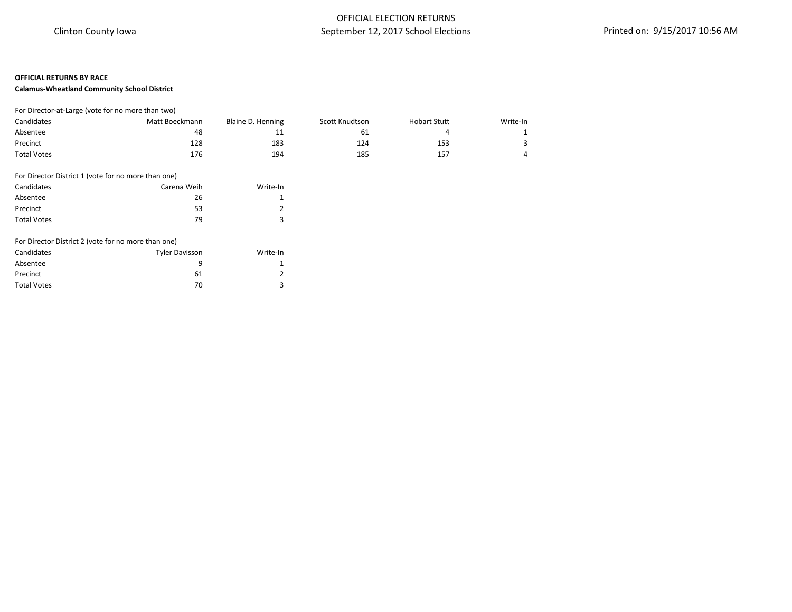### **Calamus-Wheatland Community School District**

| For Director-at-Large (vote for no more than two) |                |                   |                |                     |          |
|---------------------------------------------------|----------------|-------------------|----------------|---------------------|----------|
| Candidates                                        | Matt Boeckmann | Blaine D. Henning | Scott Knudtson | <b>Hobart Stutt</b> | Write-In |
| Absentee                                          | 48             | ᆠ                 | 61             |                     |          |
| Precinct                                          | 128            | 183               | 124            | 153                 |          |
| <b>Total Votes</b>                                | 176            | 194               | 185            | 157                 |          |

| For Director District 1 (vote for no more than one) |             |               |
|-----------------------------------------------------|-------------|---------------|
| Candidates                                          | Carena Weih | Write-In      |
| Absentee                                            | 26          |               |
| Precinct                                            | 53          | $\mathcal{P}$ |
| <b>Total Votes</b>                                  | 79          | 3             |

| For Director District 2 (vote for no more than one) |                       |               |
|-----------------------------------------------------|-----------------------|---------------|
| Candidates                                          | <b>Tyler Davisson</b> | Write-In      |
| Absentee                                            |                       |               |
| Precinct                                            | 61                    | $\mathcal{P}$ |
| <b>Total Votes</b>                                  | 70                    | ₹             |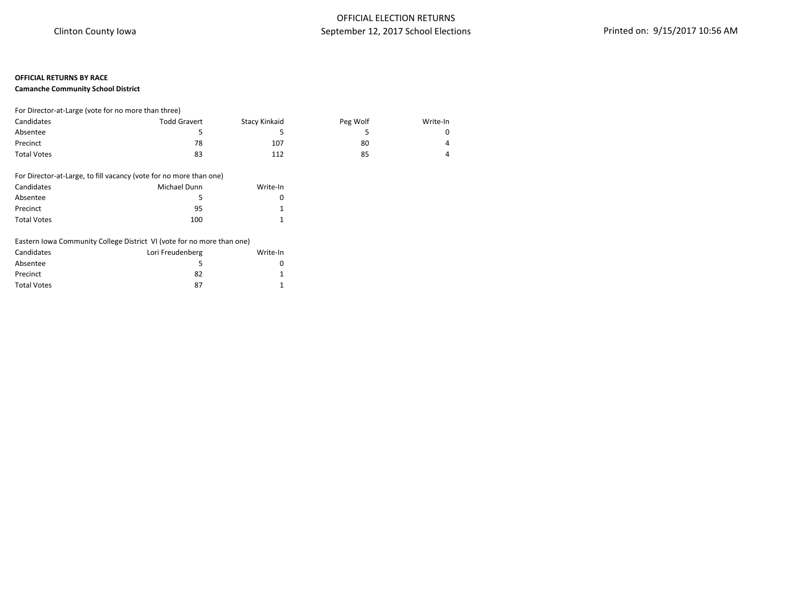### **Camanche Community School District**

| For Director-at-Large (vote for no more than three) |                     |               |          |          |  |
|-----------------------------------------------------|---------------------|---------------|----------|----------|--|
| Candidates                                          | <b>Todd Gravert</b> | Stacy Kinkaid | Peg Wolf | Write-In |  |
| Absentee                                            |                     |               |          |          |  |
| Precinct                                            | 78                  | 107           | 80       | 4        |  |
| <b>Total Votes</b>                                  | 83                  | 112           | 85       | д        |  |

#### For Director-at-Large, to fill vacancy (vote for no more than one)

| Candidates         | Michael Dunn | Write-In |
|--------------------|--------------|----------|
| Absentee           | 5            |          |
| Precinct           | 95           |          |
| <b>Total Votes</b> | 100          |          |

### Eastern Iowa Community College District VI (vote for no more than one)

| Candidates         | Lori Freudenberg | Write-In |
|--------------------|------------------|----------|
| Absentee           | 5                |          |
| Precinct           | 82               |          |
| <b>Total Votes</b> | 87               |          |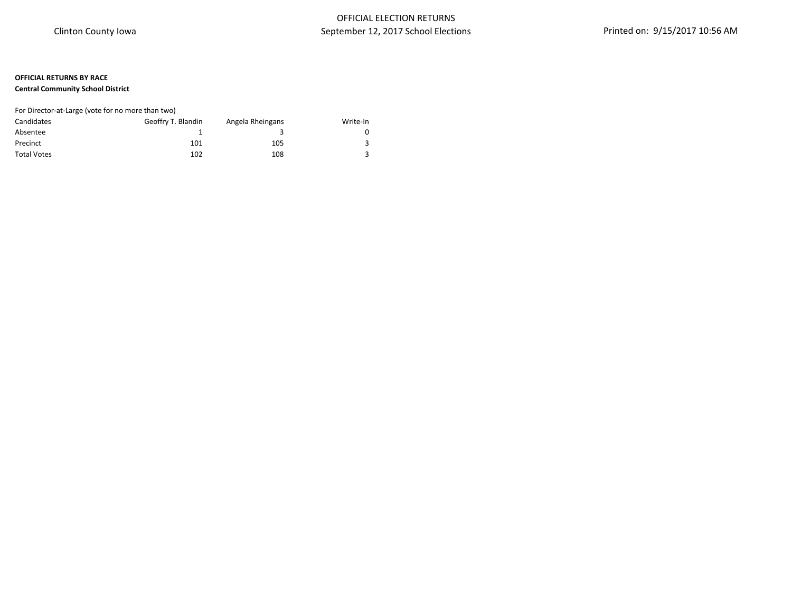### **Central Community School District**

## For Director-at-Large (vote for no more than two)

| Candidates         | Geoffry T. Blandin | Angela Rheingans | Write-In |
|--------------------|--------------------|------------------|----------|
| Absentee           |                    |                  |          |
| Precinct           | 101                | 105              |          |
| <b>Total Votes</b> | 102                | 108              |          |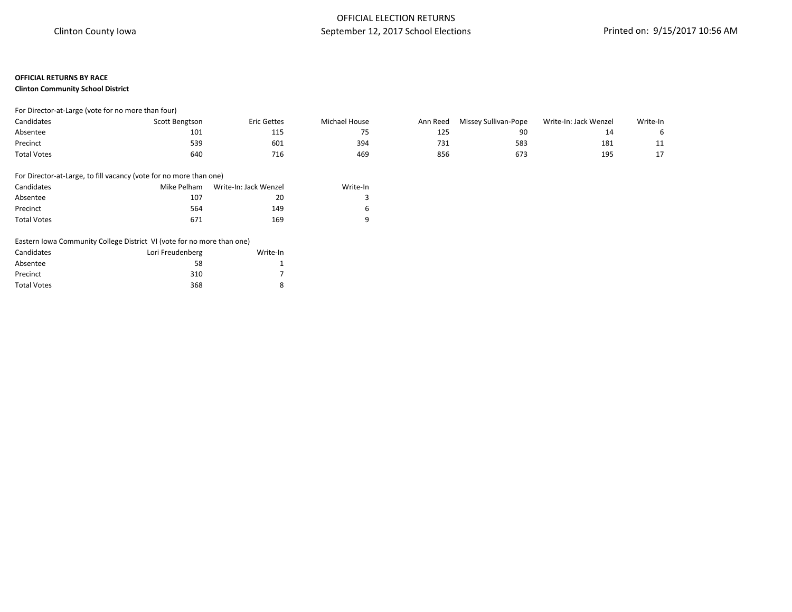### **Clinton Community School District**

| Candidates         | Scott Bengtson | Eric Gettes | Michael House | Ann Reed | Missey Sullivan-Pope | Write-In: Jack Wenzel | Write-In |
|--------------------|----------------|-------------|---------------|----------|----------------------|-----------------------|----------|
| Absentee           | 101            | ᆂᆂ          |               | 125      | 90                   |                       |          |
| Precinct           | 539            | 601         | 394           | 731      | 583                  | 181                   |          |
| <b>Total Votes</b> | 640            | ∕ 10        | 469           | 856      | 67.                  | 195<br><b></b>        |          |

### For Director-at-Large, to fill vacancy (vote for no more than one)

| Candidates         | Mike Pelham | Write-In: Jack Wenzel | Write-In |
|--------------------|-------------|-----------------------|----------|
| Absentee           | 107         | 20                    |          |
| Precinct           | 564         | 149                   | 6        |
| <b>Total Votes</b> | 671         | 169                   | q        |

#### Eastern Iowa Community College District VI (vote for no more than one)

| Candidates         | Lori Freudenberg | Write-In |
|--------------------|------------------|----------|
| Absentee           | 58               |          |
| Precinct           | 310              |          |
| <b>Total Votes</b> | 368              | 8        |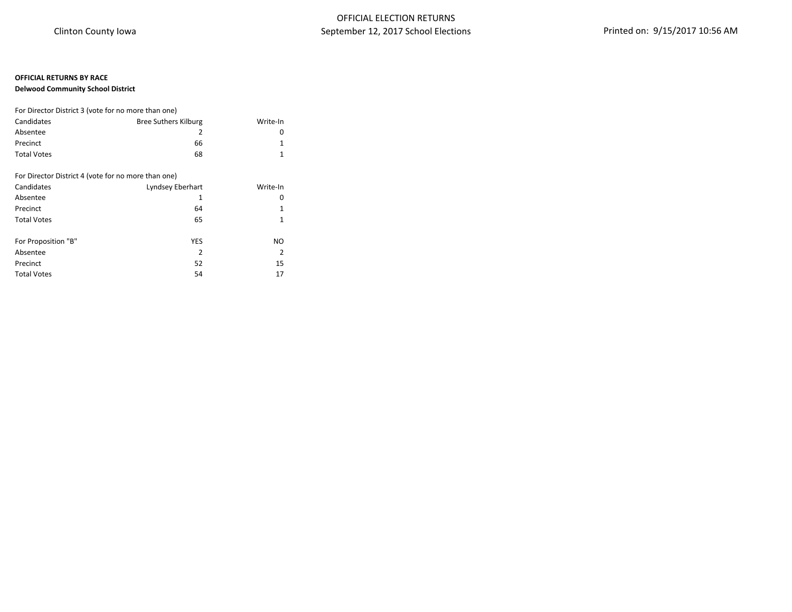### **Delwood Community School District**

| For Director District 3 (vote for no more than one) |                             |          |
|-----------------------------------------------------|-----------------------------|----------|
| Candidates                                          | <b>Bree Suthers Kilburg</b> | Write-In |
| Absentee                                            | 2                           | 0        |
| Precinct                                            | 66                          | 1        |
| <b>Total Votes</b>                                  | 68                          | 1        |
|                                                     |                             |          |
| For Director District 4 (vote for no more than one) |                             |          |
| Candidates                                          | Lyndsey Eberhart            | Write-In |
| Absentee                                            | 1                           | 0        |
| Precinct                                            | 64                          | 1        |
| <b>Total Votes</b>                                  | 65                          | 1        |
|                                                     |                             |          |
| For Proposition "B"                                 | <b>YES</b>                  | NO.      |
| Absentee                                            | 2                           | 2        |
| Precinct                                            | 52                          | 15       |
| <b>Total Votes</b>                                  | 54                          | 17       |